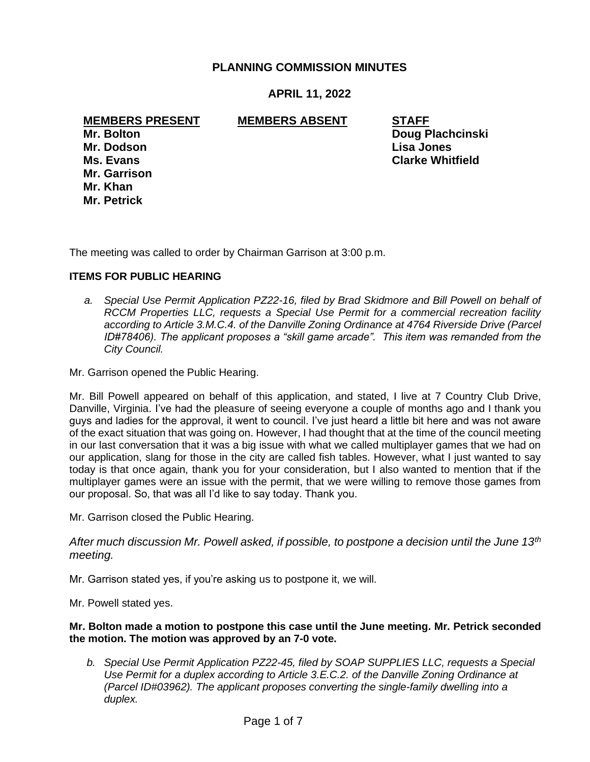# **PLANNING COMMISSION MINUTES**

# **APRIL 11, 2022**

### **MEMBERS PRESENT MEMBERS ABSENT STAFF**

**Mr. Dodson Lisa Jones Mr. Garrison Mr. Khan Mr. Petrick**

**Mr. Bolton Doug Plachcinski Ms. Evans Clarke Whitfield**

The meeting was called to order by Chairman Garrison at 3:00 p.m.

### **ITEMS FOR PUBLIC HEARING**

 *a. Special Use Permit Application PZ22-16, filed by Brad Skidmore and Bill Powell on behalf of RCCM Properties LLC, requests a Special Use Permit for a commercial recreation facility according to Article 3.M.C.4. of the Danville Zoning Ordinance at 4764 Riverside Drive (Parcel ID#78406). The applicant proposes a "skill game arcade". This item was remanded from the City Council.*

Mr. Garrison opened the Public Hearing.

Mr. Bill Powell appeared on behalf of this application, and stated, I live at 7 Country Club Drive, Danville, Virginia. I've had the pleasure of seeing everyone a couple of months ago and I thank you guys and ladies for the approval, it went to council. I've just heard a little bit here and was not aware of the exact situation that was going on. However, I had thought that at the time of the council meeting in our last conversation that it was a big issue with what we called multiplayer games that we had on our application, slang for those in the city are called fish tables. However, what I just wanted to say today is that once again, thank you for your consideration, but I also wanted to mention that if the multiplayer games were an issue with the permit, that we were willing to remove those games from our proposal. So, that was all I'd like to say today. Thank you.

Mr. Garrison closed the Public Hearing.

*After much discussion Mr. Powell asked, if possible, to postpone a decision until the June 13th meeting.*

Mr. Garrison stated yes, if you're asking us to postpone it, we will.

Mr. Powell stated yes.

#### **Mr. Bolton made a motion to postpone this case until the June meeting. Mr. Petrick seconded the motion. The motion was approved by an 7-0 vote.**

*b. Special Use Permit Application PZ22-45, filed by SOAP SUPPLIES LLC, requests a Special Use Permit for a duplex according to Article 3.E.C.2. of the Danville Zoning Ordinance at (Parcel ID#03962). The applicant proposes converting the single-family dwelling into a duplex.*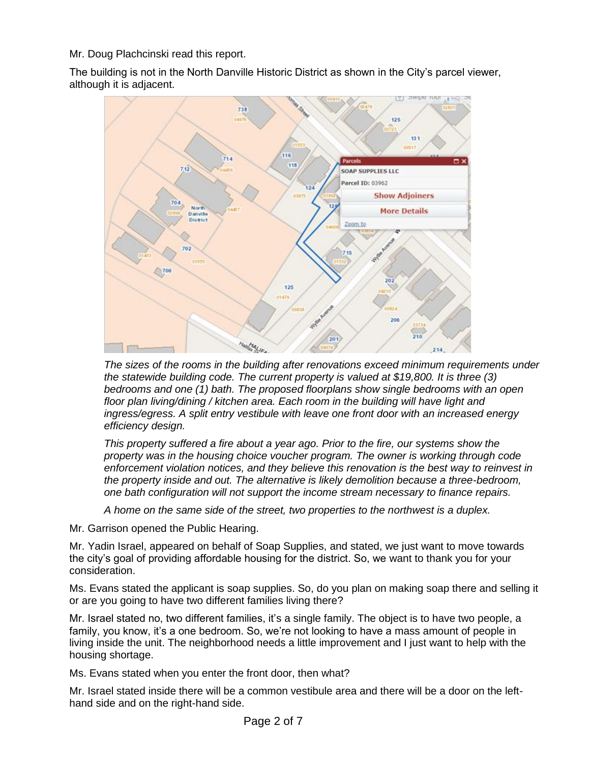Mr. Doug Plachcinski read this report.

The building is not in the North Danville Historic District as shown in the City's parcel viewer, although it is adjacent.



*The sizes of the rooms in the building after renovations exceed minimum requirements under the statewide building code. The current property is valued at \$19,800. It is three (3) bedrooms and one (1) bath. The proposed floorplans show single bedrooms with an open floor plan living/dining / kitchen area. Each room in the building will have light and ingress/egress. A split entry vestibule with leave one front door with an increased energy efficiency design.*

*This property suffered a fire about a year ago. Prior to the fire, our systems show the property was in the housing choice voucher program. The owner is working through code enforcement violation notices, and they believe this renovation is the best way to reinvest in the property inside and out. The alternative is likely demolition because a three-bedroom, one bath configuration will not support the income stream necessary to finance repairs.* 

*A home on the same side of the street, two properties to the northwest is a duplex.*

Mr. Garrison opened the Public Hearing.

Mr. Yadin Israel, appeared on behalf of Soap Supplies, and stated, we just want to move towards the city's goal of providing affordable housing for the district. So, we want to thank you for your consideration.

Ms. Evans stated the applicant is soap supplies. So, do you plan on making soap there and selling it or are you going to have two different families living there?

Mr. Israel stated no, two different families, it's a single family. The object is to have two people, a family, you know, it's a one bedroom. So, we're not looking to have a mass amount of people in living inside the unit. The neighborhood needs a little improvement and I just want to help with the housing shortage.

Ms. Evans stated when you enter the front door, then what?

Mr. Israel stated inside there will be a common vestibule area and there will be a door on the lefthand side and on the right-hand side.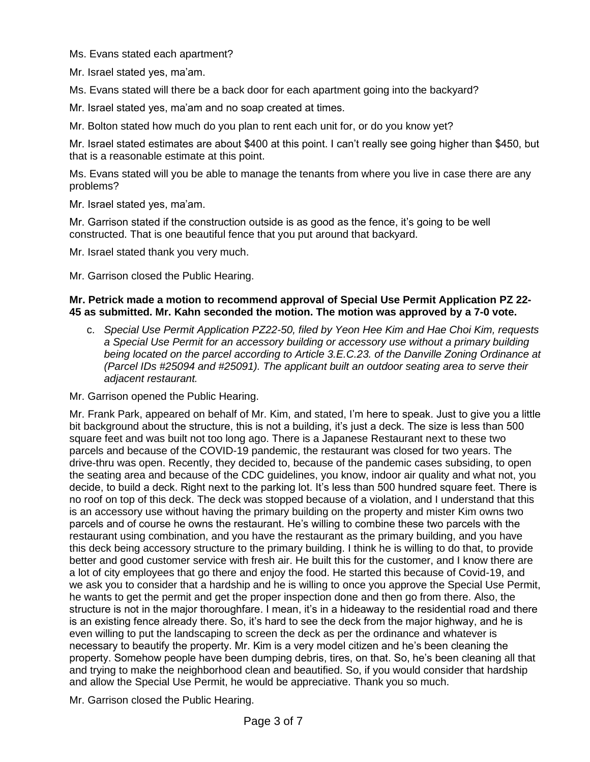Ms. Evans stated each apartment?

Mr. Israel stated yes, ma'am.

Ms. Evans stated will there be a back door for each apartment going into the backyard?

Mr. Israel stated yes, ma'am and no soap created at times.

Mr. Bolton stated how much do you plan to rent each unit for, or do you know yet?

Mr. Israel stated estimates are about \$400 at this point. I can't really see going higher than \$450, but that is a reasonable estimate at this point.

Ms. Evans stated will you be able to manage the tenants from where you live in case there are any problems?

Mr. Israel stated yes, ma'am.

Mr. Garrison stated if the construction outside is as good as the fence, it's going to be well constructed. That is one beautiful fence that you put around that backyard.

Mr. Israel stated thank you very much.

Mr. Garrison closed the Public Hearing.

#### **Mr. Petrick made a motion to recommend approval of Special Use Permit Application PZ 22- 45 as submitted. Mr. Kahn seconded the motion. The motion was approved by a 7-0 vote.**

c. *Special Use Permit Application PZ22-50, filed by Yeon Hee Kim and Hae Choi Kim, requests a Special Use Permit for an accessory building or accessory use without a primary building being located on the parcel according to Article 3.E.C.23. of the Danville Zoning Ordinance at (Parcel IDs #25094 and #25091). The applicant built an outdoor seating area to serve their adjacent restaurant.*

Mr. Garrison opened the Public Hearing.

Mr. Frank Park, appeared on behalf of Mr. Kim, and stated, I'm here to speak. Just to give you a little bit background about the structure, this is not a building, it's just a deck. The size is less than 500 square feet and was built not too long ago. There is a Japanese Restaurant next to these two parcels and because of the COVID-19 pandemic, the restaurant was closed for two years. The drive-thru was open. Recently, they decided to, because of the pandemic cases subsiding, to open the seating area and because of the CDC guidelines, you know, indoor air quality and what not, you decide, to build a deck. Right next to the parking lot. It's less than 500 hundred square feet. There is no roof on top of this deck. The deck was stopped because of a violation, and I understand that this is an accessory use without having the primary building on the property and mister Kim owns two parcels and of course he owns the restaurant. He's willing to combine these two parcels with the restaurant using combination, and you have the restaurant as the primary building, and you have this deck being accessory structure to the primary building. I think he is willing to do that, to provide better and good customer service with fresh air. He built this for the customer, and I know there are a lot of city employees that go there and enjoy the food. He started this because of Covid-19, and we ask you to consider that a hardship and he is willing to once you approve the Special Use Permit, he wants to get the permit and get the proper inspection done and then go from there. Also, the structure is not in the major thoroughfare. I mean, it's in a hideaway to the residential road and there is an existing fence already there. So, it's hard to see the deck from the major highway, and he is even willing to put the landscaping to screen the deck as per the ordinance and whatever is necessary to beautify the property. Mr. Kim is a very model citizen and he's been cleaning the property. Somehow people have been dumping debris, tires, on that. So, he's been cleaning all that and trying to make the neighborhood clean and beautified. So, if you would consider that hardship and allow the Special Use Permit, he would be appreciative. Thank you so much.

Mr. Garrison closed the Public Hearing.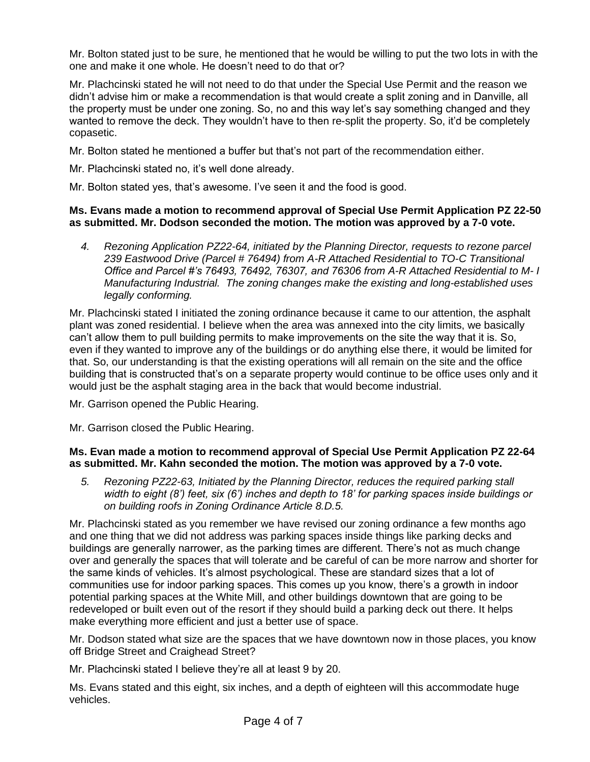Mr. Bolton stated just to be sure, he mentioned that he would be willing to put the two lots in with the one and make it one whole. He doesn't need to do that or?

Mr. Plachcinski stated he will not need to do that under the Special Use Permit and the reason we didn't advise him or make a recommendation is that would create a split zoning and in Danville, all the property must be under one zoning. So, no and this way let's say something changed and they wanted to remove the deck. They wouldn't have to then re-split the property. So, it'd be completely copasetic.

Mr. Bolton stated he mentioned a buffer but that's not part of the recommendation either.

Mr. Plachcinski stated no, it's well done already.

Mr. Bolton stated yes, that's awesome. I've seen it and the food is good.

### **Ms. Evans made a motion to recommend approval of Special Use Permit Application PZ 22-50 as submitted. Mr. Dodson seconded the motion. The motion was approved by a 7-0 vote.**

*4. Rezoning Application PZ22-64, initiated by the Planning Director, requests to rezone parcel 239 Eastwood Drive (Parcel # 76494) from A-R Attached Residential to TO-C Transitional Office and Parcel #'s 76493, 76492, 76307, and 76306 from A-R Attached Residential to M- I Manufacturing Industrial. The zoning changes make the existing and long-established uses legally conforming.*

Mr. Plachcinski stated I initiated the zoning ordinance because it came to our attention, the asphalt plant was zoned residential. I believe when the area was annexed into the city limits, we basically can't allow them to pull building permits to make improvements on the site the way that it is. So, even if they wanted to improve any of the buildings or do anything else there, it would be limited for that. So, our understanding is that the existing operations will all remain on the site and the office building that is constructed that's on a separate property would continue to be office uses only and it would just be the asphalt staging area in the back that would become industrial.

Mr. Garrison opened the Public Hearing.

Mr. Garrison closed the Public Hearing.

## **Ms. Evan made a motion to recommend approval of Special Use Permit Application PZ 22-64 as submitted. Mr. Kahn seconded the motion. The motion was approved by a 7-0 vote.**

*5. Rezoning PZ22-63, Initiated by the Planning Director, reduces the required parking stall width to eight (8') feet, six (6') inches and depth to 18' for parking spaces inside buildings or on building roofs in Zoning Ordinance Article 8.D.5.* 

Mr. Plachcinski stated as you remember we have revised our zoning ordinance a few months ago and one thing that we did not address was parking spaces inside things like parking decks and buildings are generally narrower, as the parking times are different. There's not as much change over and generally the spaces that will tolerate and be careful of can be more narrow and shorter for the same kinds of vehicles. It's almost psychological. These are standard sizes that a lot of communities use for indoor parking spaces. This comes up you know, there's a growth in indoor potential parking spaces at the White Mill, and other buildings downtown that are going to be redeveloped or built even out of the resort if they should build a parking deck out there. It helps make everything more efficient and just a better use of space.

Mr. Dodson stated what size are the spaces that we have downtown now in those places, you know off Bridge Street and Craighead Street?

Mr. Plachcinski stated I believe they're all at least 9 by 20.

Ms. Evans stated and this eight, six inches, and a depth of eighteen will this accommodate huge vehicles.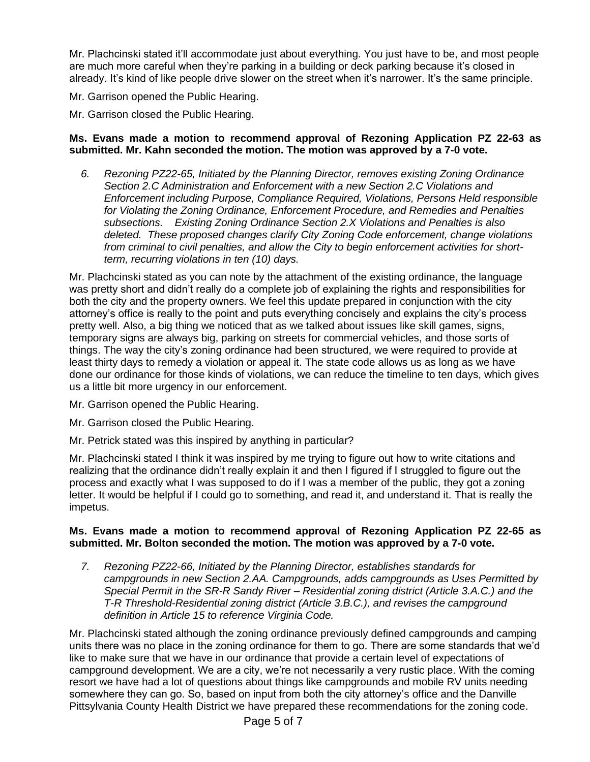Mr. Plachcinski stated it'll accommodate just about everything. You just have to be, and most people are much more careful when they're parking in a building or deck parking because it's closed in already. It's kind of like people drive slower on the street when it's narrower. It's the same principle.

Mr. Garrison opened the Public Hearing.

Mr. Garrison closed the Public Hearing.

### **Ms. Evans made a motion to recommend approval of Rezoning Application PZ 22-63 as submitted. Mr. Kahn seconded the motion. The motion was approved by a 7-0 vote.**

*6. Rezoning PZ22-65, Initiated by the Planning Director, removes existing Zoning Ordinance Section 2.C Administration and Enforcement with a new Section 2.C Violations and Enforcement including Purpose, Compliance Required, Violations, Persons Held responsible for Violating the Zoning Ordinance, Enforcement Procedure, and Remedies and Penalties subsections. Existing Zoning Ordinance Section 2.X Violations and Penalties is also deleted. These proposed changes clarify City Zoning Code enforcement, change violations from criminal to civil penalties, and allow the City to begin enforcement activities for shortterm, recurring violations in ten (10) days.* 

Mr. Plachcinski stated as you can note by the attachment of the existing ordinance, the language was pretty short and didn't really do a complete job of explaining the rights and responsibilities for both the city and the property owners. We feel this update prepared in conjunction with the city attorney's office is really to the point and puts everything concisely and explains the city's process pretty well. Also, a big thing we noticed that as we talked about issues like skill games, signs, temporary signs are always big, parking on streets for commercial vehicles, and those sorts of things. The way the city's zoning ordinance had been structured, we were required to provide at least thirty days to remedy a violation or appeal it. The state code allows us as long as we have done our ordinance for those kinds of violations, we can reduce the timeline to ten days, which gives us a little bit more urgency in our enforcement.

Mr. Garrison opened the Public Hearing.

Mr. Garrison closed the Public Hearing.

Mr. Petrick stated was this inspired by anything in particular?

Mr. Plachcinski stated I think it was inspired by me trying to figure out how to write citations and realizing that the ordinance didn't really explain it and then I figured if I struggled to figure out the process and exactly what I was supposed to do if I was a member of the public, they got a zoning letter. It would be helpful if I could go to something, and read it, and understand it. That is really the impetus.

### **Ms. Evans made a motion to recommend approval of Rezoning Application PZ 22-65 as submitted. Mr. Bolton seconded the motion. The motion was approved by a 7-0 vote.**

*7. Rezoning PZ22-66, Initiated by the Planning Director, establishes standards for campgrounds in new Section 2.AA. Campgrounds, adds campgrounds as Uses Permitted by Special Permit in the SR-R Sandy River – Residential zoning district (Article 3.A.C.) and the T-R Threshold-Residential zoning district (Article 3.B.C.), and revises the campground definition in Article 15 to reference Virginia Code.* 

Mr. Plachcinski stated although the zoning ordinance previously defined campgrounds and camping units there was no place in the zoning ordinance for them to go. There are some standards that we'd like to make sure that we have in our ordinance that provide a certain level of expectations of campground development. We are a city, we're not necessarily a very rustic place. With the coming resort we have had a lot of questions about things like campgrounds and mobile RV units needing somewhere they can go. So, based on input from both the city attorney's office and the Danville Pittsylvania County Health District we have prepared these recommendations for the zoning code.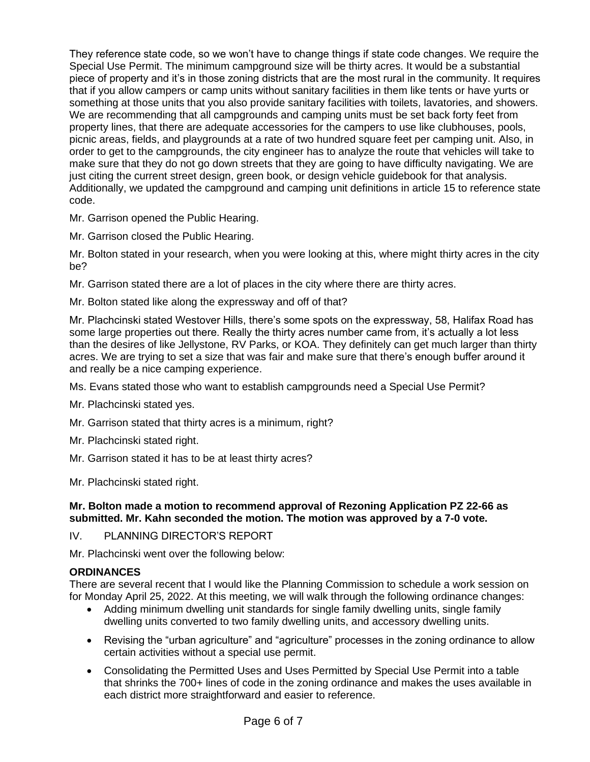They reference state code, so we won't have to change things if state code changes. We require the Special Use Permit. The minimum campground size will be thirty acres. It would be a substantial piece of property and it's in those zoning districts that are the most rural in the community. It requires that if you allow campers or camp units without sanitary facilities in them like tents or have yurts or something at those units that you also provide sanitary facilities with toilets, lavatories, and showers. We are recommending that all campgrounds and camping units must be set back forty feet from property lines, that there are adequate accessories for the campers to use like clubhouses, pools, picnic areas, fields, and playgrounds at a rate of two hundred square feet per camping unit. Also, in order to get to the campgrounds, the city engineer has to analyze the route that vehicles will take to make sure that they do not go down streets that they are going to have difficulty navigating. We are just citing the current street design, green book, or design vehicle guidebook for that analysis. Additionally, we updated the campground and camping unit definitions in article 15 to reference state code.

Mr. Garrison opened the Public Hearing.

Mr. Garrison closed the Public Hearing.

Mr. Bolton stated in your research, when you were looking at this, where might thirty acres in the city be?

Mr. Garrison stated there are a lot of places in the city where there are thirty acres.

Mr. Bolton stated like along the expressway and off of that?

Mr. Plachcinski stated Westover Hills, there's some spots on the expressway, 58, Halifax Road has some large properties out there. Really the thirty acres number came from, it's actually a lot less than the desires of like Jellystone, RV Parks, or KOA. They definitely can get much larger than thirty acres. We are trying to set a size that was fair and make sure that there's enough buffer around it and really be a nice camping experience.

Ms. Evans stated those who want to establish campgrounds need a Special Use Permit?

Mr. Plachcinski stated yes.

Mr. Garrison stated that thirty acres is a minimum, right?

Mr. Plachcinski stated right.

Mr. Garrison stated it has to be at least thirty acres?

Mr. Plachcinski stated right.

#### **Mr. Bolton made a motion to recommend approval of Rezoning Application PZ 22-66 as submitted. Mr. Kahn seconded the motion. The motion was approved by a 7-0 vote.**

IV. PLANNING DIRECTOR'S REPORT

Mr. Plachcinski went over the following below:

# **ORDINANCES**

There are several recent that I would like the Planning Commission to schedule a work session on for Monday April 25, 2022. At this meeting, we will walk through the following ordinance changes:

- Adding minimum dwelling unit standards for single family dwelling units, single family dwelling units converted to two family dwelling units, and accessory dwelling units.
- Revising the "urban agriculture" and "agriculture" processes in the zoning ordinance to allow certain activities without a special use permit.
- Consolidating the Permitted Uses and Uses Permitted by Special Use Permit into a table that shrinks the 700+ lines of code in the zoning ordinance and makes the uses available in each district more straightforward and easier to reference.